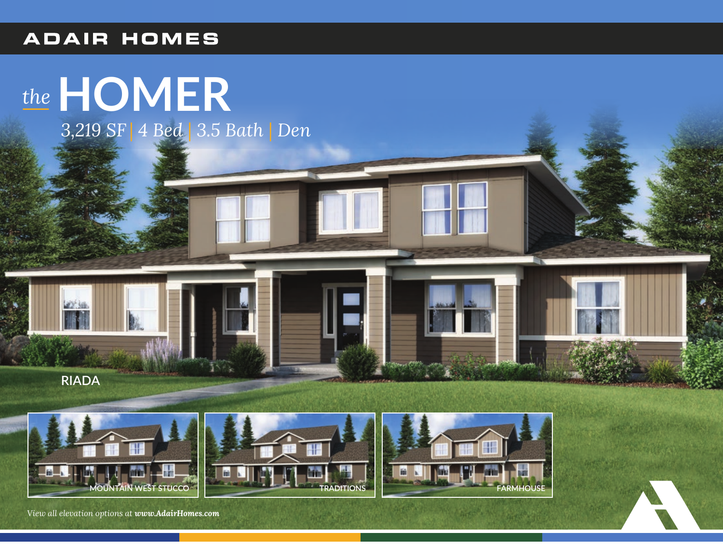## **ADAIR HOMES**

## the HOMER

3,219 SF | 4 Bed | 3.5 Bath | Den



22.50







View all elevation options at www.AdairHomes.com